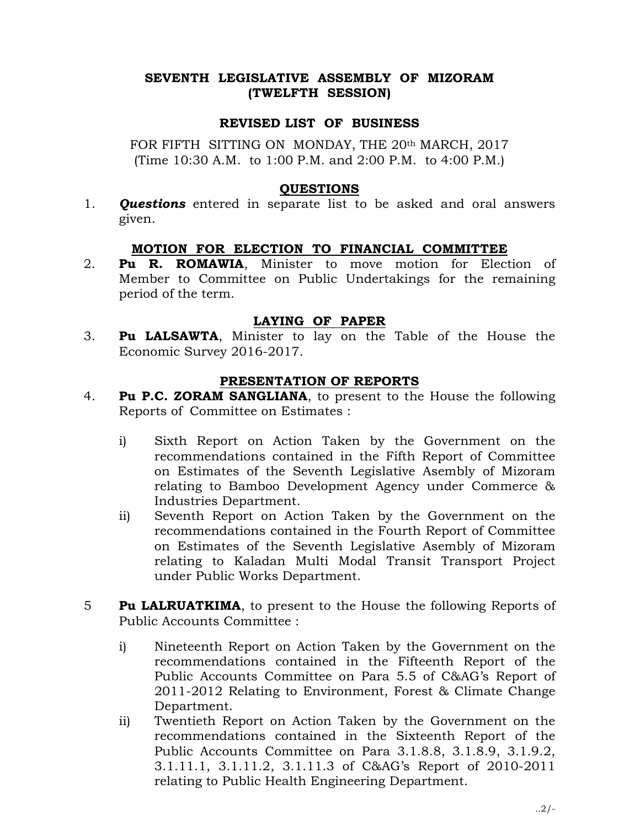# SEVENTH LEGISLATIVE ASSEMBLY OF MIZORAM (TWELFTH SESSION)

## REVISED LIST OF BUSINESS

FOR FIFTH SITTING ON MONDAY, THE 20th MARCH, 2017 (Time 10:30 A.M. to 1:00 P.M. and 2:00 P.M. to 4:00 P.M.)

## QUESTIONS

1. **Questions** entered in separate list to be asked and oral answers given.

# MOTION FOR ELECTION TO FINANCIAL COMMITTEE

2. **Pu R. ROMAWIA**, Minister to move motion for Election of Member to Committee on Public Undertakings for the remaining period of the term.

# LAYING OF PAPER

3. Pu LALSAWTA, Minister to lay on the Table of the House the Economic Survey 2016-2017.

# PRESENTATION OF REPORTS

- 4. Pu P.C. ZORAM SANGLIANA, to present to the House the following Reports of Committee on Estimates :
	- i) Sixth Report on Action Taken by the Government on the recommendations contained in the Fifth Report of Committee on Estimates of the Seventh Legislative Asembly of Mizoram relating to Bamboo Development Agency under Commerce & Industries Department.
	- ii) Seventh Report on Action Taken by the Government on the recommendations contained in the Fourth Report of Committee on Estimates of the Seventh Legislative Asembly of Mizoram relating to Kaladan Multi Modal Transit Transport Project under Public Works Department.
- **Fu LALRUATKIMA,** to present to the House the following Reports of Public Accounts Committee :
	- i) Nineteenth Report on Action Taken by the Government on the recommendations contained in the Fifteenth Report of the Public Accounts Committee on Para 5.5 of C&AG's Report of 2011-2012 Relating to Environment, Forest & Climate Change Department.
	- ii) Twentieth Report on Action Taken by the Government on the recommendations contained in the Sixteenth Report of the Public Accounts Committee on Para 3.1.8.8, 3.1.8.9, 3.1.9.2, 3.1.11.1, 3.1.11.2, 3.1.11.3 of C&AG's Report of 2010-2011 relating to Public Health Engineering Department.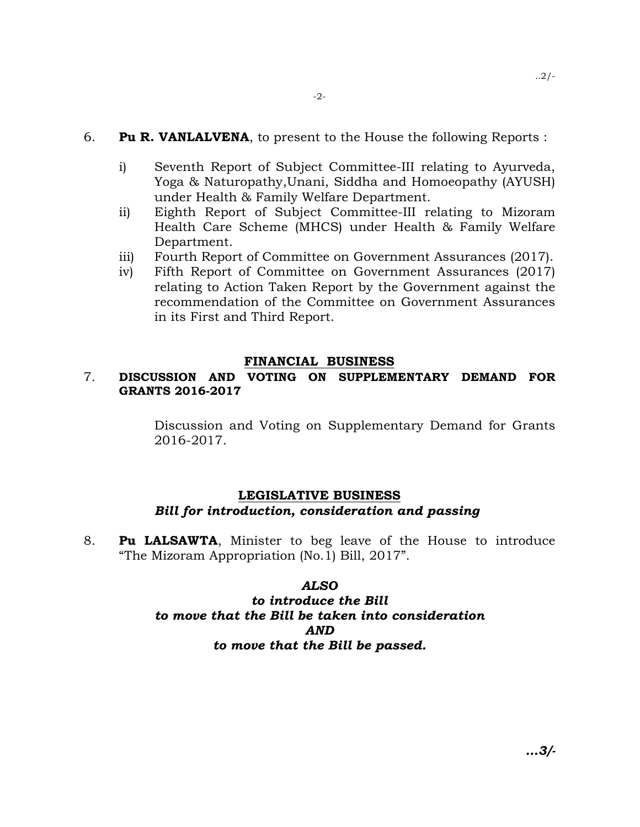## 6. **Pu R. VANLALVENA**, to present to the House the following Reports :

- i) Seventh Report of Subject Committee-III relating to Ayurveda, Yoga & Naturopathy,Unani, Siddha and Homoeopathy (AYUSH) under Health & Family Welfare Department.
- ii) Eighth Report of Subject Committee-III relating to Mizoram Health Care Scheme (MHCS) under Health & Family Welfare Department.
- iii) Fourth Report of Committee on Government Assurances (2017).
- iv) Fifth Report of Committee on Government Assurances (2017) relating to Action Taken Report by the Government against the recommendation of the Committee on Government Assurances in its First and Third Report.

#### FINANCIAL BUSINESS

# 7. DISCUSSION AND VOTING ON SUPPLEMENTARY DEMAND FOR GRANTS 2016-2017

 Discussion and Voting on Supplementary Demand for Grants 2016-2017.

# LEGISLATIVE BUSINESS Bill for introduction, consideration and passing

8. Pu LALSAWTA, Minister to beg leave of the House to introduce "The Mizoram Appropriation (No.1) Bill, 2017".

#### ALSO

# to introduce the Bill to move that the Bill be taken into consideration AND to move that the Bill be passed.